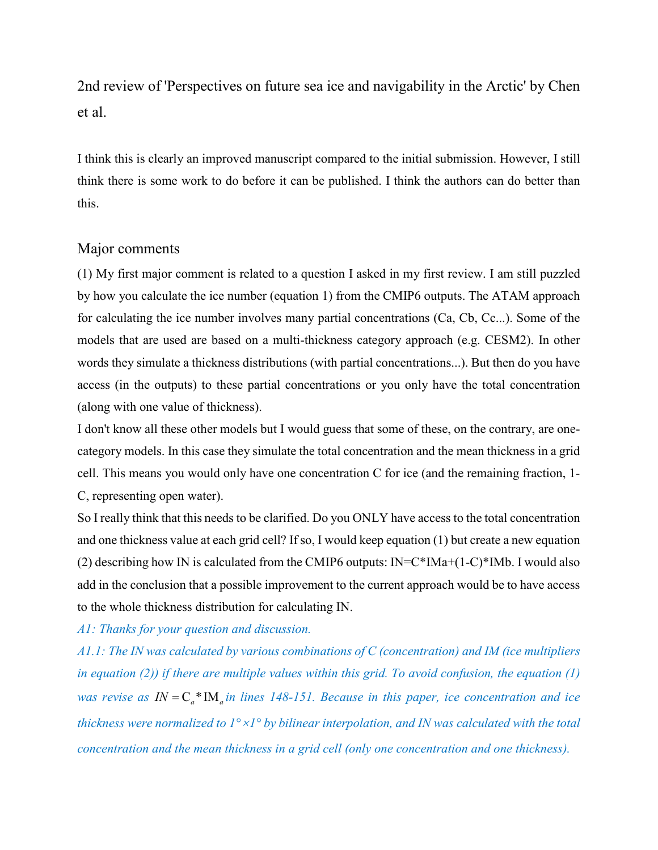2nd review of 'Perspectives on future sea ice and navigability in the Arctic' by Chen et al.

I think this is clearly an improved manuscript compared to the initial submission. However, I still think there is some work to do before it can be published. I think the authors can do better than this.

## Major comments

(1) My first major comment is related to a question I asked in my first review. I am still puzzled by how you calculate the ice number (equation 1) from the CMIP6 outputs. The ATAM approach for calculating the ice number involves many partial concentrations (Ca, Cb, Cc...). Some of the models that are used are based on a multi-thickness category approach (e.g. CESM2). In other words they simulate a thickness distributions (with partial concentrations...). But then do you have access (in the outputs) to these partial concentrations or you only have the total concentration (along with one value of thickness).

I don't know all these other models but I would guess that some of these, on the contrary, are onecategory models. In this case they simulate the total concentration and the mean thickness in a grid cell. This means you would only have one concentration C for ice (and the remaining fraction, 1- C, representing open water).

So I really think that this needs to be clarified. Do you ONLY have access to the total concentration and one thickness value at each grid cell? If so, I would keep equation (1) but create a new equation (2) describing how IN is calculated from the CMIP6 outputs:  $IN = C*IMa + (1-C)*IMb$ . I would also add in the conclusion that a possible improvement to the current approach would be to have access to the whole thickness distribution for calculating IN.

*A1: Thanks for your question and discussion.* 

*A1.1: The IN was calculated by various combinations of C (concentration) and IM (ice multipliers in equation (2)) if there are multiple values within this grid. To avoid confusion, the equation (1) was revise as*  $IN = C_a^*IM_a$  *in lines 148-151. Because in this paper, ice concentration and ice thickness were normalized to 1°*×*1° by bilinear interpolation, and IN was calculated with the total concentration and the mean thickness in a grid cell (only one concentration and one thickness).*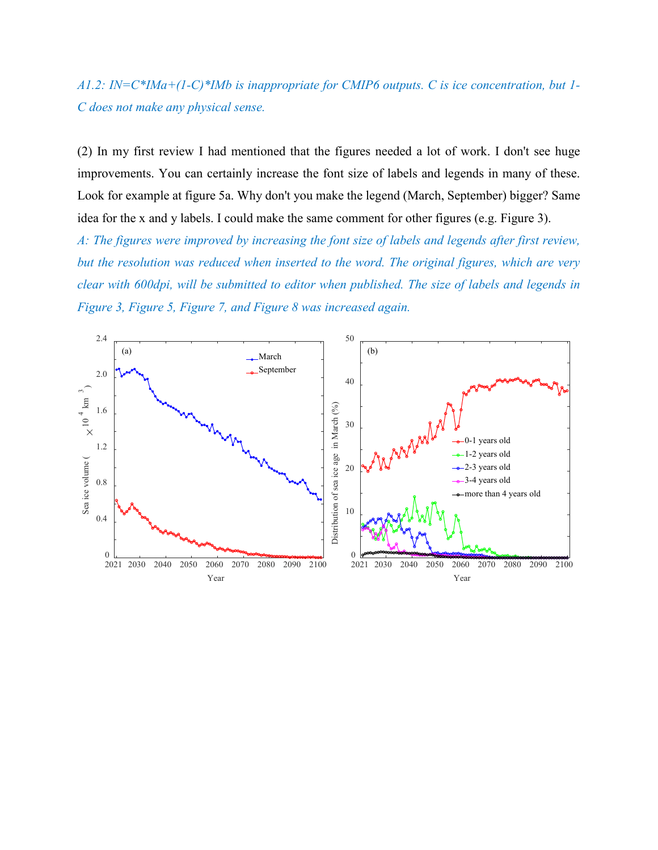*A1.2: IN=C\*IMa+(1-C)\*IMb is inappropriate for CMIP6 outputs. C is ice concentration, but 1- C does not make any physical sense.* 

(2) In my first review I had mentioned that the figures needed a lot of work. I don't see huge improvements. You can certainly increase the font size of labels and legends in many of these. Look for example at figure 5a. Why don't you make the legend (March, September) bigger? Same idea for the x and y labels. I could make the same comment for other figures (e.g. Figure 3).

*A: The figures were improved by increasing the font size of labels and legends after first review, but the resolution was reduced when inserted to the word. The original figures, which are very clear with 600dpi, will be submitted to editor when published. The size of labels and legends in Figure 3, Figure 5, Figure 7, and Figure 8 was increased again.*

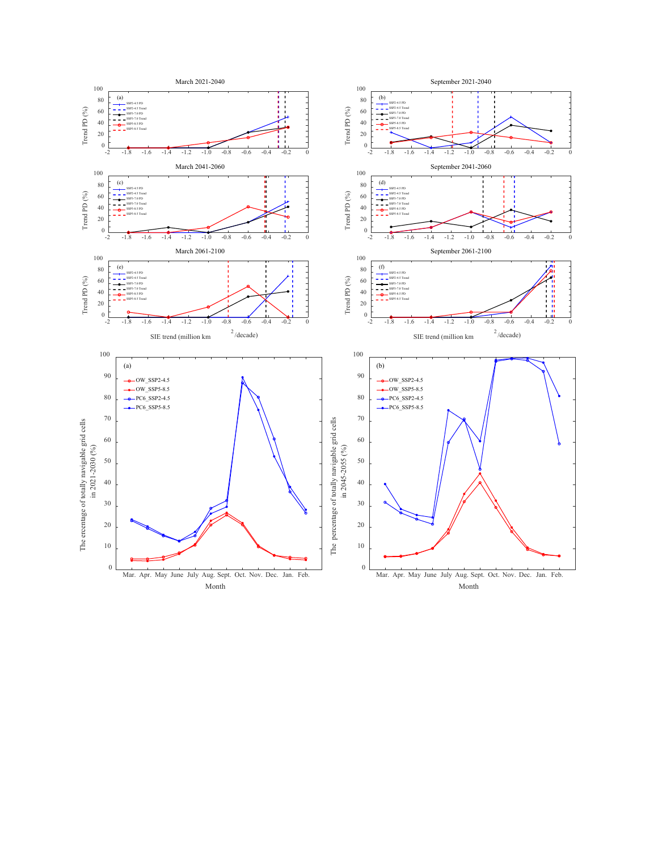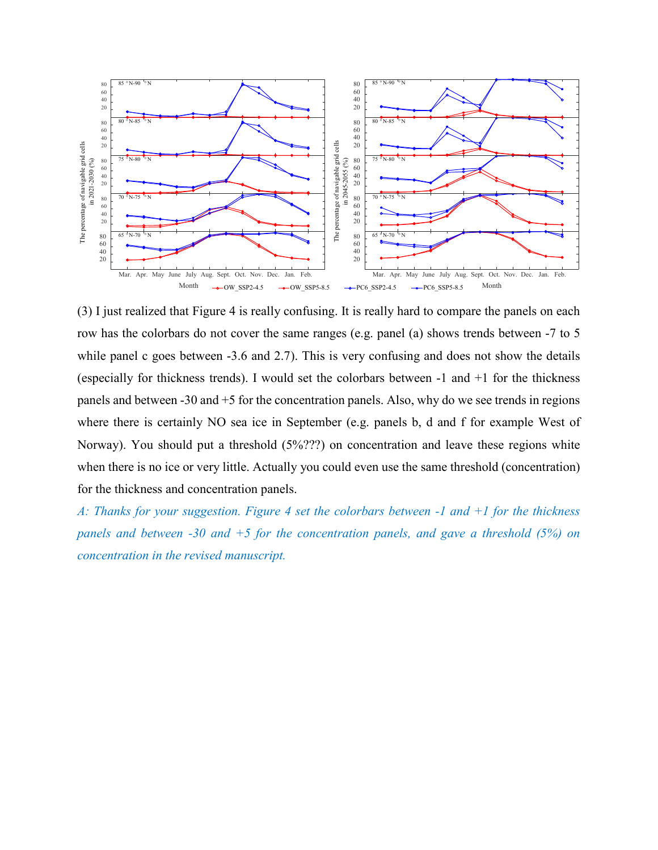

(3) I just realized that Figure 4 is really confusing. It is really hard to compare the panels on each row has the colorbars do not cover the same ranges (e.g. panel (a) shows trends between -7 to 5 while panel c goes between -3.6 and 2.7). This is very confusing and does not show the details (especially for thickness trends). I would set the colorbars between -1 and +1 for the thickness panels and between -30 and +5 for the concentration panels. Also, why do we see trends in regions where there is certainly NO sea ice in September (e.g. panels b, d and f for example West of Norway). You should put a threshold (5%???) on concentration and leave these regions white when there is no ice or very little. Actually you could even use the same threshold (concentration) for the thickness and concentration panels.

*A: Thanks for your suggestion. Figure 4 set the colorbars between -1 and +1 for the thickness panels and between -30 and +5 for the concentration panels, and gave a threshold (5%) on concentration in the revised manuscript.*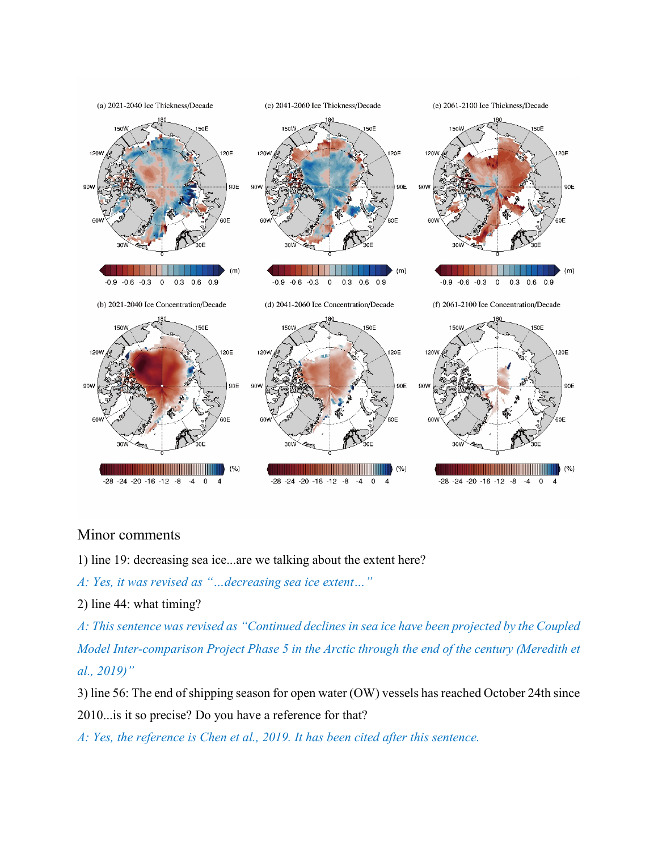

## Minor comments

1) line 19: decreasing sea ice...are we talking about the extent here?

*A: Yes, it was revised as "…decreasing sea ice extent…"*

2) line 44: what timing?

*A: This sentence was revised as "Continued declines in sea ice have been projected by the Coupled Model Inter-comparison Project Phase 5 in the Arctic through the end of the century (Meredith et al., 2019)"*

3) line 56: The end of shipping season for open water (OW) vessels has reached October 24th since 2010...is it so precise? Do you have a reference for that?

*A: Yes, the reference is Chen et al., 2019. It has been cited after this sentence.*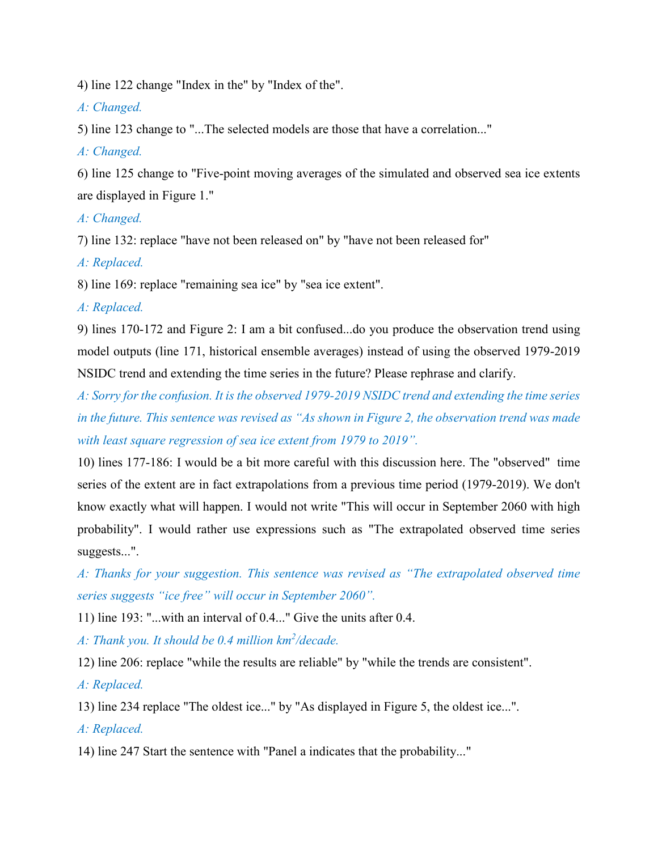4) line 122 change "Index in the" by "Index of the".

*A: Changed.*

5) line 123 change to "...The selected models are those that have a correlation..."

*A: Changed.*

6) line 125 change to "Five-point moving averages of the simulated and observed sea ice extents are displayed in Figure 1."

*A: Changed.*

7) line 132: replace "have not been released on" by "have not been released for"

*A: Replaced.*

8) line 169: replace "remaining sea ice" by "sea ice extent".

*A: Replaced.*

9) lines 170-172 and Figure 2: I am a bit confused...do you produce the observation trend using model outputs (line 171, historical ensemble averages) instead of using the observed 1979-2019 NSIDC trend and extending the time series in the future? Please rephrase and clarify.

*A: Sorry for the confusion. It is the observed 1979-2019 NSIDC trend and extending the time series in the future. This sentence was revised as "As shown in Figure 2, the observation trend was made with least square regression of sea ice extent from 1979 to 2019".*

10) lines 177-186: I would be a bit more careful with this discussion here. The "observed" time series of the extent are in fact extrapolations from a previous time period (1979-2019). We don't know exactly what will happen. I would not write "This will occur in September 2060 with high probability". I would rather use expressions such as "The extrapolated observed time series suggests...".

*A: Thanks for your suggestion. This sentence was revised as "The extrapolated observed time series suggests "ice free" will occur in September 2060".*

11) line 193: "...with an interval of 0.4..." Give the units after 0.4.

A: Thank you. It should be 0.4 million km<sup>2</sup>/decade.

12) line 206: replace "while the results are reliable" by "while the trends are consistent".

*A: Replaced.*

13) line 234 replace "The oldest ice..." by "As displayed in Figure 5, the oldest ice...".

*A: Replaced.*

14) line 247 Start the sentence with "Panel a indicates that the probability..."